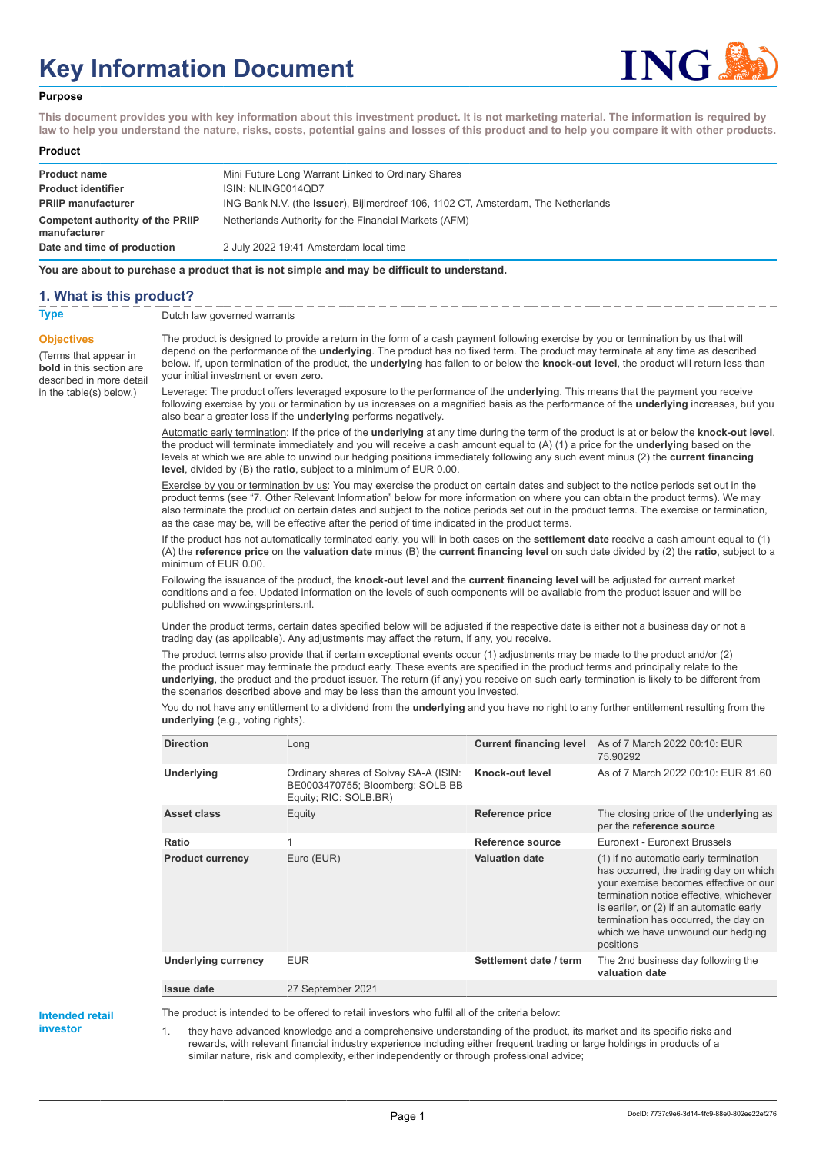# **Key Information Document**



### **Purpose**

**This document provides you with key information about this investment product. It is not marketing material. The information is required by law to help you understand the nature, risks, costs, potential gains and losses of this product and to help you compare it with other products.**

#### **Product**

| <b>Product name</b>                              | Mini Future Long Warrant Linked to Ordinary Shares                                        |
|--------------------------------------------------|-------------------------------------------------------------------------------------------|
| <b>Product identifier</b>                        | ISIN: NLING0014QD7                                                                        |
| <b>PRIIP manufacturer</b>                        | ING Bank N.V. (the <b>issuer</b> ), Bijlmerdreef 106, 1102 CT, Amsterdam, The Netherlands |
| Competent authority of the PRIIP<br>manufacturer | Netherlands Authority for the Financial Markets (AFM)                                     |
| Date and time of production                      | 2 July 2022 19:41 Amsterdam local time                                                    |

**You are about to purchase a product that is not simple and may be difficult to understand.**

## **1. What is this product?**

**Objectives**

(Terms that appear in **bold** in this section are

in the table(s) below.)

**Type** Dutch law governed warrants

described in more detail The product is designed to provide a return in the form of a cash payment following exercise by you or termination by us that will depend on the performance of the **underlying**. The product has no fixed term. The product may terminate at any time as described below. If, upon termination of the product, the **underlying** has fallen to or below the **knock-out level**, the product will return less than your initial investment or even zero.

> Leverage: The product offers leveraged exposure to the performance of the **underlying**. This means that the payment you receive following exercise by you or termination by us increases on a magnified basis as the performance of the **underlying** increases, but you also bear a greater loss if the **underlying** performs negatively.

> Automatic early termination: If the price of the **underlying** at any time during the term of the product is at or below the **knock-out level**, the product will terminate immediately and you will receive a cash amount equal to (A) (1) a price for the **underlying** based on the levels at which we are able to unwind our hedging positions immediately following any such event minus (2) the **current financing level**, divided by (B) the **ratio**, subject to a minimum of EUR 0.00.

Exercise by you or termination by us: You may exercise the product on certain dates and subject to the notice periods set out in the product terms (see "7. Other Relevant Information" below for more information on where you can obtain the product terms). We may also terminate the product on certain dates and subject to the notice periods set out in the product terms. The exercise or termination, as the case may be, will be effective after the period of time indicated in the product terms.

If the product has not automatically terminated early, you will in both cases on the **settlement date** receive a cash amount equal to (1) (A) the **reference price** on the **valuation date** minus (B) the **current financing level** on such date divided by (2) the **ratio**, subject to a minimum of EUR 0.00.

Following the issuance of the product, the **knock-out level** and the **current financing level** will be adjusted for current market conditions and a fee. Updated information on the levels of such components will be available from the product issuer and will be published on www.ingsprinters.nl.

Under the product terms, certain dates specified below will be adjusted if the respective date is either not a business day or not a trading day (as applicable). Any adjustments may affect the return, if any, you receive.

The product terms also provide that if certain exceptional events occur (1) adjustments may be made to the product and/or (2) the product issuer may terminate the product early. These events are specified in the product terms and principally relate to the **underlying**, the product and the product issuer. The return (if any) you receive on such early termination is likely to be different from the scenarios described above and may be less than the amount you invested.

You do not have any entitlement to a dividend from the **underlying** and you have no right to any further entitlement resulting from the **underlying** (e.g., voting rights).

| <b>Direction</b>           | Long                                                                                               | <b>Current financing level</b> | As of 7 March 2022 00:10: EUR<br>75.90292                                                                                                                                                                                                                                                                  |
|----------------------------|----------------------------------------------------------------------------------------------------|--------------------------------|------------------------------------------------------------------------------------------------------------------------------------------------------------------------------------------------------------------------------------------------------------------------------------------------------------|
| <b>Underlying</b>          | Ordinary shares of Solvay SA-A (ISIN:<br>BE0003470755; Bloomberg: SOLB BB<br>Equity; RIC: SOLB.BR) | Knock-out level                | As of 7 March 2022 00:10: EUR 81.60                                                                                                                                                                                                                                                                        |
| <b>Asset class</b>         | Equity                                                                                             | Reference price                | The closing price of the <b>underlying</b> as<br>per the reference source                                                                                                                                                                                                                                  |
| Ratio                      | 1                                                                                                  | Reference source               | Euronext - Euronext Brussels                                                                                                                                                                                                                                                                               |
| <b>Product currency</b>    | Euro (EUR)                                                                                         | <b>Valuation date</b>          | (1) if no automatic early termination<br>has occurred, the trading day on which<br>your exercise becomes effective or our<br>termination notice effective, whichever<br>is earlier, or (2) if an automatic early<br>termination has occurred, the day on<br>which we have unwound our hedging<br>positions |
| <b>Underlying currency</b> | <b>EUR</b>                                                                                         | Settlement date / term         | The 2nd business day following the<br>valuation date                                                                                                                                                                                                                                                       |
| Issue date                 | 27 September 2021                                                                                  |                                |                                                                                                                                                                                                                                                                                                            |

**Intended retail investor**

The product is intended to be offered to retail investors who fulfil all of the criteria below:

1. they have advanced knowledge and a comprehensive understanding of the product, its market and its specific risks and rewards, with relevant financial industry experience including either frequent trading or large holdings in products of a similar nature, risk and complexity, either independently or through professional advice;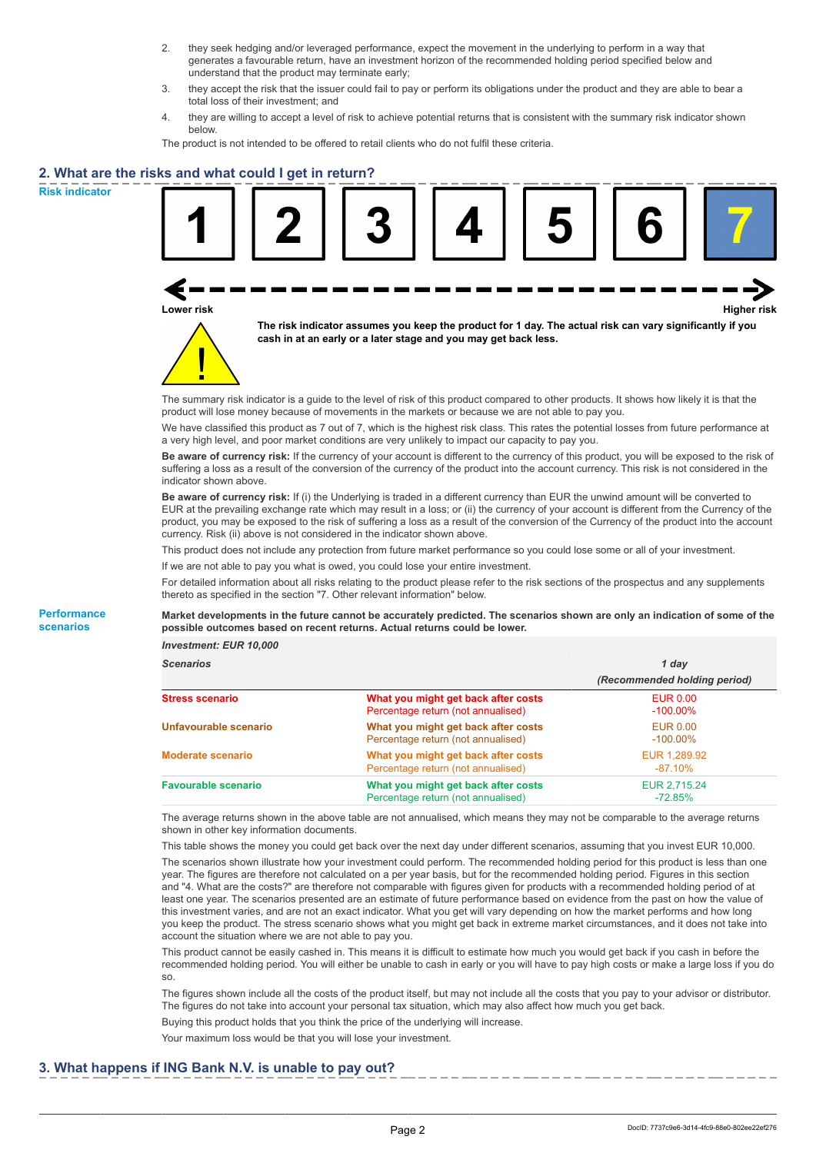- 2. they seek hedging and/or leveraged performance, expect the movement in the underlying to perform in a way that generates a favourable return, have an investment horizon of the recommended holding period specified below and understand that the product may terminate early;
- 3. they accept the risk that the issuer could fail to pay or perform its obligations under the product and they are able to bear a total loss of their investment; and
- 4. they are willing to accept a level of risk to achieve potential returns that is consistent with the summary risk indicator shown below.

The product is not intended to be offered to retail clients who do not fulfil these criteria.

## **2. What are the risks and what could I get in return?**

**Risk indicator**

**Performance scenarios**





**The risk indicator assumes you keep the product for 1 day. The actual risk can vary significantly if you cash in at an early or a later stage and you may get back less.**

The summary risk indicator is a guide to the level of risk of this product compared to other products. It shows how likely it is that the product will lose money because of movements in the markets or because we are not able to pay you.

We have classified this product as 7 out of 7, which is the highest risk class. This rates the potential losses from future performance at a very high level, and poor market conditions are very unlikely to impact our capacity to pay you.

**Be aware of currency risk:** If the currency of your account is different to the currency of this product, you will be exposed to the risk of suffering a loss as a result of the conversion of the currency of the product into the account currency. This risk is not considered in the indicator shown above.

**Be aware of currency risk:** If (i) the Underlying is traded in a different currency than EUR the unwind amount will be converted to EUR at the prevailing exchange rate which may result in a loss; or (ii) the currency of your account is different from the Currency of the product, you may be exposed to the risk of suffering a loss as a result of the conversion of the Currency of the product into the account currency. Risk (ii) above is not considered in the indicator shown above.

This product does not include any protection from future market performance so you could lose some or all of your investment.

If we are not able to pay you what is owed, you could lose your entire investment.

For detailed information about all risks relating to the product please refer to the risk sections of the prospectus and any supplements thereto as specified in the section "7. Other relevant information" below.

#### **Market developments in the future cannot be accurately predicted. The scenarios shown are only an indication of some of the possible outcomes based on recent returns. Actual returns could be lower.**

*Investment: EUR 10,000*

| <b>Scenarios</b>           |                                                                           | 1 day                          |  |
|----------------------------|---------------------------------------------------------------------------|--------------------------------|--|
|                            |                                                                           | (Recommended holding period)   |  |
| <b>Stress scenario</b>     | What you might get back after costs<br>Percentage return (not annualised) | <b>EUR 0.00</b><br>$-100.00\%$ |  |
| Unfavourable scenario      | What you might get back after costs<br>Percentage return (not annualised) | <b>EUR 0.00</b><br>$-100.00\%$ |  |
| <b>Moderate scenario</b>   | What you might get back after costs<br>Percentage return (not annualised) | EUR 1,289.92<br>$-87.10\%$     |  |
| <b>Favourable scenario</b> | What you might get back after costs<br>Percentage return (not annualised) | EUR 2.715.24<br>$-72.85%$      |  |

The average returns shown in the above table are not annualised, which means they may not be comparable to the average returns shown in other key information documents.

This table shows the money you could get back over the next day under different scenarios, assuming that you invest EUR 10,000. The scenarios shown illustrate how your investment could perform. The recommended holding period for this product is less than one year. The figures are therefore not calculated on a per year basis, but for the recommended holding period. Figures in this section and "4. What are the costs?" are therefore not comparable with figures given for products with a recommended holding period of at least one year. The scenarios presented are an estimate of future performance based on evidence from the past on how the value of this investment varies, and are not an exact indicator. What you get will vary depending on how the market performs and how long you keep the product. The stress scenario shows what you might get back in extreme market circumstances, and it does not take into account the situation where we are not able to pay you.

This product cannot be easily cashed in. This means it is difficult to estimate how much you would get back if you cash in before the recommended holding period. You will either be unable to cash in early or you will have to pay high costs or make a large loss if you do so.

The figures shown include all the costs of the product itself, but may not include all the costs that you pay to your advisor or distributor. The figures do not take into account your personal tax situation, which may also affect how much you get back.

Buying this product holds that you think the price of the underlying will increase.

Your maximum loss would be that you will lose your investment.

## **3. What happens if ING Bank N.V. is unable to pay out?**